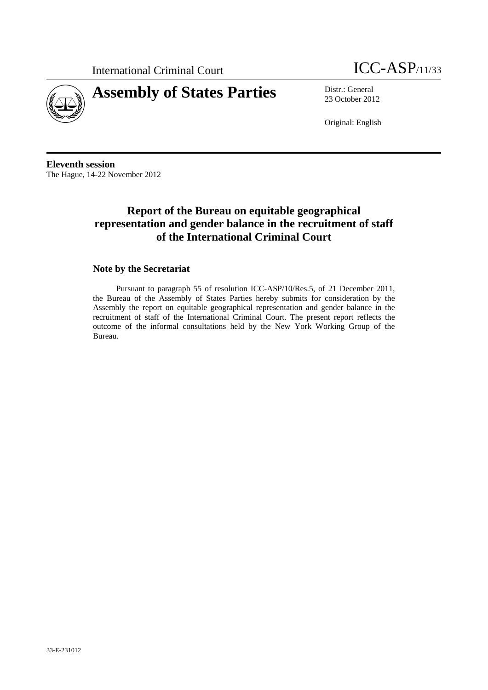



23 October 2012

Original: English

**Eleventh session**  The Hague, 14-22 November 2012

## **Report of the Bureau on equitable geographical representation and gender balance in the recruitment of staff of the International Criminal Court**

#### **Note by the Secretariat**

Pursuant to paragraph 55 of resolution ICC-ASP/10/Res.5, of 21 December 2011, the Bureau of the Assembly of States Parties hereby submits for consideration by the Assembly the report on equitable geographical representation and gender balance in the recruitment of staff of the International Criminal Court. The present report reflects the outcome of the informal consultations held by the New York Working Group of the Bureau.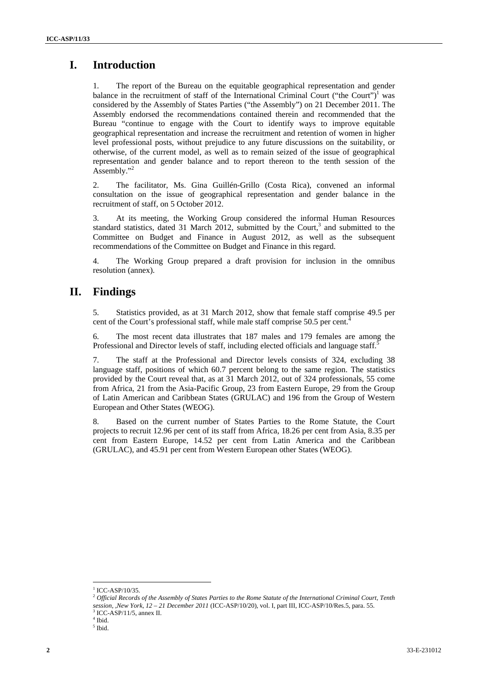## **I. Introduction**

1. The report of the Bureau on the equitable geographical representation and gender balance in the recruitment of staff of the International Criminal Court ("the Court")<sup>1</sup> was considered by the Assembly of States Parties ("the Assembly") on 21 December 2011. The Assembly endorsed the recommendations contained therein and recommended that the Bureau "continue to engage with the Court to identify ways to improve equitable geographical representation and increase the recruitment and retention of women in higher level professional posts, without prejudice to any future discussions on the suitability, or otherwise, of the current model, as well as to remain seized of the issue of geographical representation and gender balance and to report thereon to the tenth session of the Assembly."<sup>2</sup>

2. The facilitator, Ms. Gina Guillén-Grillo (Costa Rica), convened an informal consultation on the issue of geographical representation and gender balance in the recruitment of staff, on 5 October 2012.

3. At its meeting, the Working Group considered the informal Human Resources standard statistics, dated 31 March 2012, submitted by the Court,<sup>3</sup> and submitted to the Committee on Budget and Finance in August 2012, as well as the subsequent recommendations of the Committee on Budget and Finance in this regard.

4. The Working Group prepared a draft provision for inclusion in the omnibus resolution (annex).

### **II. Findings**

5. Statistics provided, as at 31 March 2012, show that female staff comprise 49.5 per cent of the Court's professional staff, while male staff comprise 50.5 per cent.

6. The most recent data illustrates that 187 males and 179 females are among the Professional and Director levels of staff, including elected officials and language staff.<sup>5</sup>

7. The staff at the Professional and Director levels consists of 324, excluding 38 language staff, positions of which 60.7 percent belong to the same region. The statistics provided by the Court reveal that, as at 31 March 2012, out of 324 professionals, 55 come from Africa, 21 from the Asia-Pacific Group, 23 from Eastern Europe, 29 from the Group of Latin American and Caribbean States (GRULAC) and 196 from the Group of Western European and Other States (WEOG).

8. Based on the current number of States Parties to the Rome Statute, the Court projects to recruit 12.96 per cent of its staff from Africa, 18.26 per cent from Asia, 8.35 per cent from Eastern Europe, 14.52 per cent from Latin America and the Caribbean (GRULAC), and 45.91 per cent from Western European other States (WEOG).

 $1$  ICC-ASP/10/35.

<sup>2</sup> *Official Records of the Assembly of States Parties to the Rome Statute of the International Criminal Court, Tenth session, ,New York, 12 – 21 December 2011* (ICC-ASP/10/20), vol. I, part III, ICC-ASP/10/Res.5, para. 55.

<sup>3</sup> ICC-ASP/11/5, annex II.

<sup>4</sup> Ibid.

 $<sup>5</sup>$  Ibid.</sup>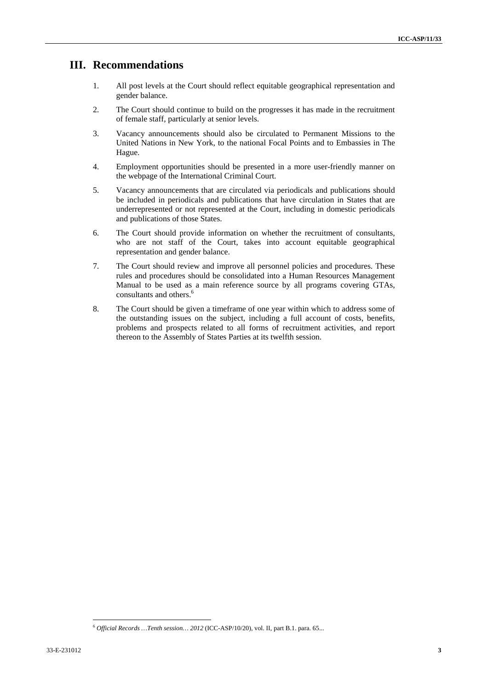### **III. Recommendations**

- 1. All post levels at the Court should reflect equitable geographical representation and gender balance.
- 2. The Court should continue to build on the progresses it has made in the recruitment of female staff, particularly at senior levels.
- 3. Vacancy announcements should also be circulated to Permanent Missions to the United Nations in New York, to the national Focal Points and to Embassies in The Hague.
- 4. Employment opportunities should be presented in a more user-friendly manner on the webpage of the International Criminal Court.
- 5. Vacancy announcements that are circulated via periodicals and publications should be included in periodicals and publications that have circulation in States that are underrepresented or not represented at the Court, including in domestic periodicals and publications of those States.
- 6. The Court should provide information on whether the recruitment of consultants, who are not staff of the Court, takes into account equitable geographical representation and gender balance.
- 7. The Court should review and improve all personnel policies and procedures. These rules and procedures should be consolidated into a Human Resources Management Manual to be used as a main reference source by all programs covering GTAs, consultants and others.<sup>6</sup>
- 8. The Court should be given a timeframe of one year within which to address some of the outstanding issues on the subject, including a full account of costs, benefits, problems and prospects related to all forms of recruitment activities, and report thereon to the Assembly of States Parties at its twelfth session.

<sup>6</sup> *Official Records …Tenth session… 2012* (ICC-ASP/10/20), vol. II, part B.1. para. 65...